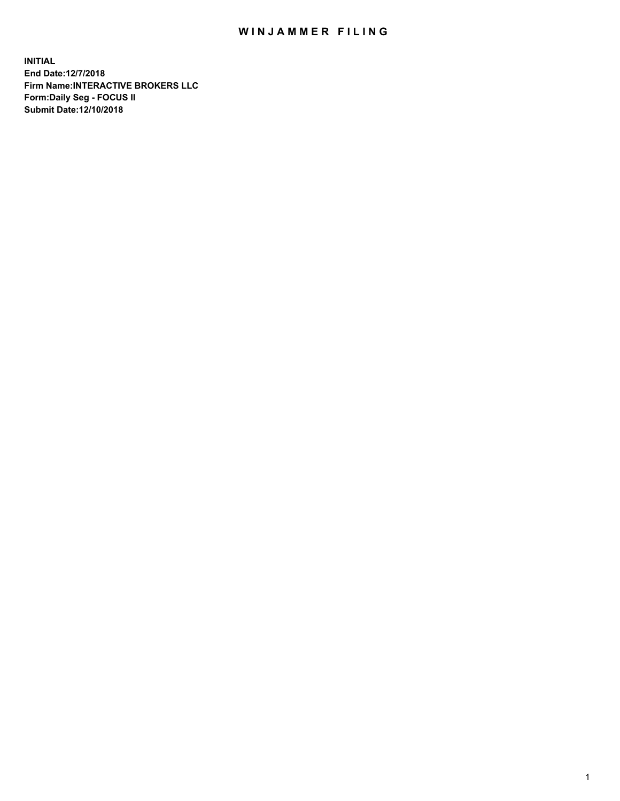## WIN JAMMER FILING

**INITIAL End Date:12/7/2018 Firm Name:INTERACTIVE BROKERS LLC Form:Daily Seg - FOCUS II Submit Date:12/10/2018**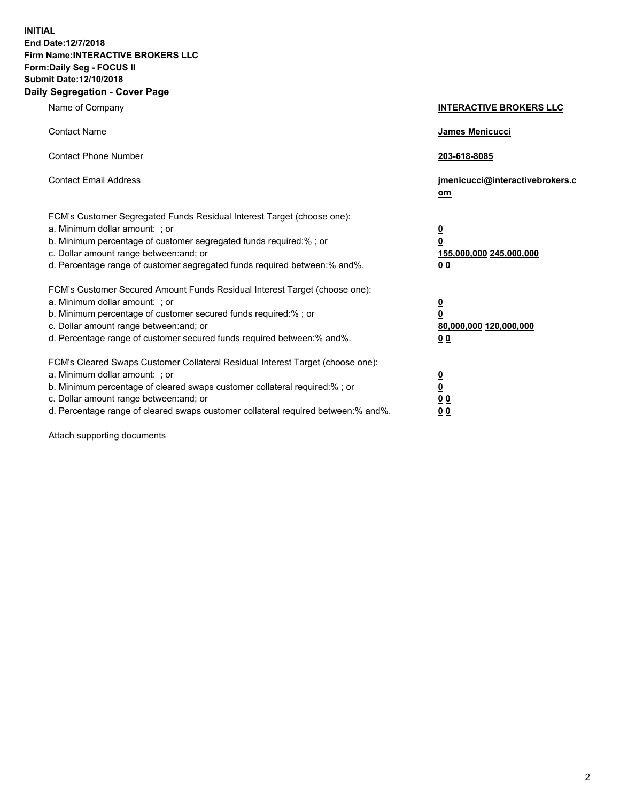**INITIAL End Date:12/7/2018 Firm Name:INTERACTIVE BROKERS LLC Form:Daily Seg - FOCUS II Submit Date:12/10/2018 Daily Segregation - Cover Page**

| Name of Company                                                                                                                                                                                                                                                                                                                | <b>INTERACTIVE BROKERS LLC</b>                                                                  |
|--------------------------------------------------------------------------------------------------------------------------------------------------------------------------------------------------------------------------------------------------------------------------------------------------------------------------------|-------------------------------------------------------------------------------------------------|
| <b>Contact Name</b>                                                                                                                                                                                                                                                                                                            | James Menicucci                                                                                 |
| <b>Contact Phone Number</b>                                                                                                                                                                                                                                                                                                    | 203-618-8085                                                                                    |
| <b>Contact Email Address</b>                                                                                                                                                                                                                                                                                                   | jmenicucci@interactivebrokers.c<br>$om$                                                         |
| FCM's Customer Segregated Funds Residual Interest Target (choose one):<br>a. Minimum dollar amount: ; or<br>b. Minimum percentage of customer segregated funds required:% ; or<br>c. Dollar amount range between: and; or<br>d. Percentage range of customer segregated funds required between:% and%.                         | $\overline{\mathbf{0}}$<br>$\overline{\mathbf{0}}$<br>155,000,000 245,000,000<br>0 <sub>0</sub> |
| FCM's Customer Secured Amount Funds Residual Interest Target (choose one):<br>a. Minimum dollar amount: ; or<br>b. Minimum percentage of customer secured funds required:%; or<br>c. Dollar amount range between: and; or<br>d. Percentage range of customer secured funds required between:% and%.                            | $\overline{\mathbf{0}}$<br>$\pmb{0}$<br>80,000,000 120,000,000<br>0 <sub>0</sub>                |
| FCM's Cleared Swaps Customer Collateral Residual Interest Target (choose one):<br>a. Minimum dollar amount: ; or<br>b. Minimum percentage of cleared swaps customer collateral required:% ; or<br>c. Dollar amount range between: and; or<br>d. Percentage range of cleared swaps customer collateral required between:% and%. | $\overline{\mathbf{0}}$<br>$\overline{\mathbf{0}}$<br>0 <sub>0</sub><br>0 <sub>0</sub>          |

Attach supporting documents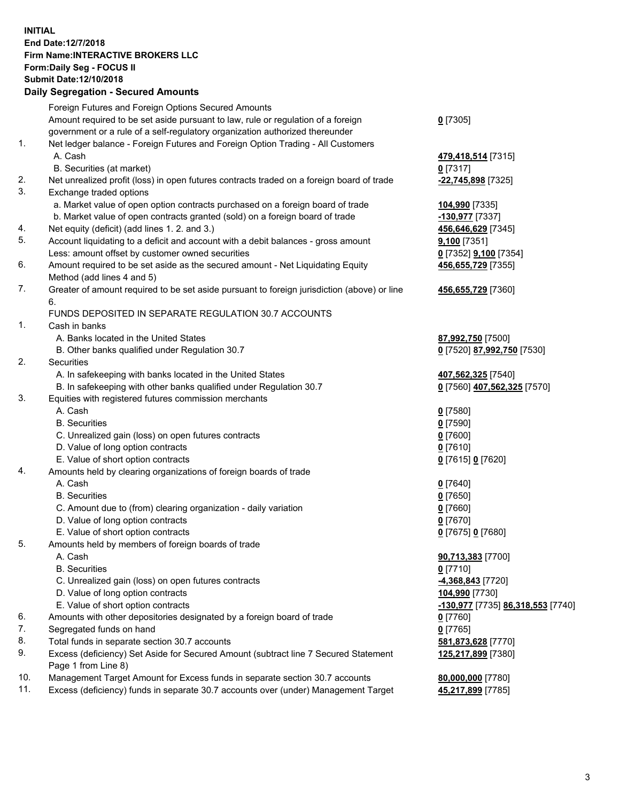## **INITIAL End Date:12/7/2018 Firm Name:INTERACTIVE BROKERS LLC Form:Daily Seg - FOCUS II Submit Date:12/10/2018 Daily Segregation - Secured Amounts**

|     | Daily Segregation - Secured Amounts                                                         |                                                       |
|-----|---------------------------------------------------------------------------------------------|-------------------------------------------------------|
|     | Foreign Futures and Foreign Options Secured Amounts                                         |                                                       |
|     | Amount required to be set aside pursuant to law, rule or regulation of a foreign            | $0$ [7305]                                            |
|     | government or a rule of a self-regulatory organization authorized thereunder                |                                                       |
| 1.  | Net ledger balance - Foreign Futures and Foreign Option Trading - All Customers             |                                                       |
|     | A. Cash                                                                                     | 479,418,514 [7315]                                    |
|     | B. Securities (at market)                                                                   | $0$ [7317]                                            |
| 2.  | Net unrealized profit (loss) in open futures contracts traded on a foreign board of trade   | -22,745,898 [7325]                                    |
| 3.  | Exchange traded options                                                                     |                                                       |
|     | a. Market value of open option contracts purchased on a foreign board of trade              | 104,990 [7335]                                        |
|     | b. Market value of open contracts granted (sold) on a foreign board of trade                | -130,977 [7337]                                       |
| 4.  | Net equity (deficit) (add lines 1. 2. and 3.)                                               | 456,646,629 [7345]                                    |
| 5.  | Account liquidating to a deficit and account with a debit balances - gross amount           | 9,100 [7351]                                          |
|     | Less: amount offset by customer owned securities                                            | 0 [7352] 9,100 [7354]                                 |
| 6.  | Amount required to be set aside as the secured amount - Net Liquidating Equity              | 456,655,729 [7355]                                    |
|     | Method (add lines 4 and 5)                                                                  |                                                       |
| 7.  | Greater of amount required to be set aside pursuant to foreign jurisdiction (above) or line | 456,655,729 [7360]                                    |
|     | 6.                                                                                          |                                                       |
|     | FUNDS DEPOSITED IN SEPARATE REGULATION 30.7 ACCOUNTS                                        |                                                       |
| 1.  | Cash in banks                                                                               |                                                       |
|     |                                                                                             |                                                       |
|     | A. Banks located in the United States                                                       | 87,992,750 [7500]                                     |
| 2.  | B. Other banks qualified under Regulation 30.7                                              | 0 [7520] 87,992,750 [7530]                            |
|     | Securities                                                                                  |                                                       |
|     | A. In safekeeping with banks located in the United States                                   | 407,562,325 [7540]                                    |
| 3.  | B. In safekeeping with other banks qualified under Regulation 30.7                          | 0 [7560] 407,562,325 [7570]                           |
|     | Equities with registered futures commission merchants<br>A. Cash                            |                                                       |
|     |                                                                                             | $0$ [7580]                                            |
|     | <b>B.</b> Securities                                                                        | $0$ [7590]                                            |
|     | C. Unrealized gain (loss) on open futures contracts                                         | $0$ [7600]                                            |
|     | D. Value of long option contracts                                                           | $0$ [7610]                                            |
|     | E. Value of short option contracts                                                          | 0 [7615] 0 [7620]                                     |
| 4.  | Amounts held by clearing organizations of foreign boards of trade                           |                                                       |
|     | A. Cash                                                                                     | $0$ [7640]                                            |
|     | <b>B.</b> Securities                                                                        | $0$ [7650]                                            |
|     | C. Amount due to (from) clearing organization - daily variation                             | $0$ [7660]                                            |
|     | D. Value of long option contracts                                                           | $0$ [7670]                                            |
|     | E. Value of short option contracts                                                          | 0 [7675] 0 [7680]                                     |
| 5.  | Amounts held by members of foreign boards of trade                                          |                                                       |
|     | A. Cash                                                                                     | 90,713,383 [7700]                                     |
|     | <b>B.</b> Securities                                                                        | $0$ [7710]                                            |
|     | C. Unrealized gain (loss) on open futures contracts                                         | -4,368,843 [7720]                                     |
|     | D. Value of long option contracts                                                           | 104,990 [7730]                                        |
|     | E. Value of short option contracts                                                          | <mark>-130,977</mark> [7735] <b>86,318,553</b> [7740] |
| 6.  | Amounts with other depositories designated by a foreign board of trade                      | $0$ [7760]                                            |
| 7.  | Segregated funds on hand                                                                    | $0$ [7765]                                            |
| 8.  | Total funds in separate section 30.7 accounts                                               | 581,873,628 [7770]                                    |
| 9.  | Excess (deficiency) Set Aside for Secured Amount (subtract line 7 Secured Statement         | 125,217,899 [7380]                                    |
|     | Page 1 from Line 8)                                                                         |                                                       |
| 10. | Management Target Amount for Excess funds in separate section 30.7 accounts                 | 80,000,000 [7780]                                     |
| 11. | Excess (deficiency) funds in separate 30.7 accounts over (under) Management Target          | 45,217,899 [7785]                                     |
|     |                                                                                             |                                                       |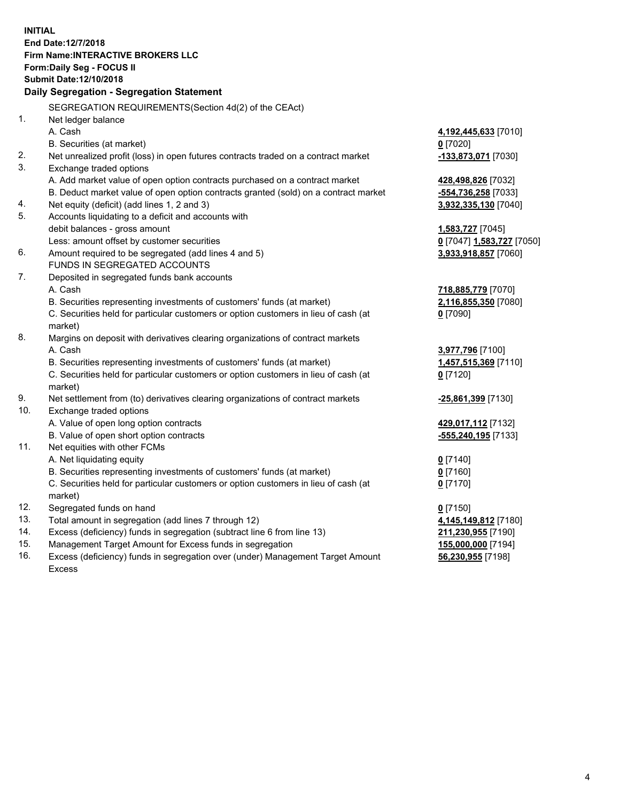**INITIAL End Date:12/7/2018 Firm Name:INTERACTIVE BROKERS LLC Form:Daily Seg - FOCUS II Submit Date:12/10/2018 Daily Segregation - Segregation Statement** SEGREGATION REQUIREMENTS(Section 4d(2) of the CEAct) 1. Net ledger balance A. Cash **4,192,445,633** [7010] B. Securities (at market) **0** [7020] 2. Net unrealized profit (loss) in open futures contracts traded on a contract market **-133,873,071** [7030] 3. Exchange traded options A. Add market value of open option contracts purchased on a contract market **428,498,826** [7032] B. Deduct market value of open option contracts granted (sold) on a contract market **-554,736,258** [7033] 4. Net equity (deficit) (add lines 1, 2 and 3) **3,932,335,130** [7040] 5. Accounts liquidating to a deficit and accounts with debit balances - gross amount **1,583,727** [7045] Less: amount offset by customer securities **0** [7047] **1,583,727** [7050] 6. Amount required to be segregated (add lines 4 and 5) **3,933,918,857** [7060] FUNDS IN SEGREGATED ACCOUNTS 7. Deposited in segregated funds bank accounts A. Cash **718,885,779** [7070] B. Securities representing investments of customers' funds (at market) **2,116,855,350** [7080] C. Securities held for particular customers or option customers in lieu of cash (at market) **0** [7090] 8. Margins on deposit with derivatives clearing organizations of contract markets A. Cash **3,977,796** [7100] B. Securities representing investments of customers' funds (at market) **1,457,515,369** [7110] C. Securities held for particular customers or option customers in lieu of cash (at market) **0** [7120] 9. Net settlement from (to) derivatives clearing organizations of contract markets **-25,861,399** [7130] 10. Exchange traded options A. Value of open long option contracts **429,017,112** [7132] B. Value of open short option contracts **-555,240,195** [7133] 11. Net equities with other FCMs A. Net liquidating equity **0** [7140] B. Securities representing investments of customers' funds (at market) **0** [7160] C. Securities held for particular customers or option customers in lieu of cash (at market) **0** [7170] 12. Segregated funds on hand **0** [7150] 13. Total amount in segregation (add lines 7 through 12) **4,145,149,812** [7180] 14. Excess (deficiency) funds in segregation (subtract line 6 from line 13) **211,230,955** [7190] 15. Management Target Amount for Excess funds in segregation **155,000,000** [7194] **56,230,955** [7198]

16. Excess (deficiency) funds in segregation over (under) Management Target Amount Excess